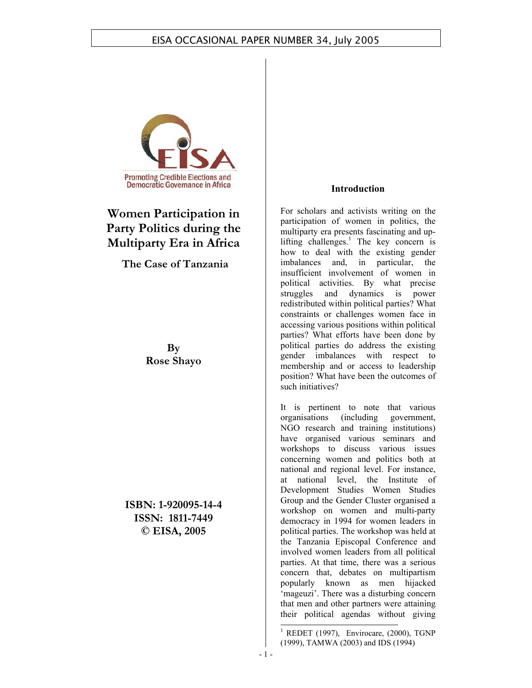

# **Women Participation in Party Politics during the Multiparty Era in Africa**

**The Case of Tanzania**

**By Rose Shayo** 

**ISBN: 1-920095-14-4 ISSN: 1811-7449 © EISA, 2005** 

#### **Introduction**

For scholars and activists writing on the participation of women in politics, the multiparty era presents fascinating and uplifting challenges.<sup>1</sup> The key concern is how to deal with the existing gender imbalances and, in particular, the insufficient involvement of women in political activities. By what precise struggles and dynamics is power redistributed within political parties? What constraints or challenges women face in accessing various positions within political parties? What efforts have been done by political parties do address the existing gender imbalances with respect to membership and or access to leadership position? What have been the outcomes of such initiatives?

It is pertinent to note that various organisations (including government, NGO research and training institutions) have organised various seminars and workshops to discuss various issues concerning women and politics both at national and regional level. For instance, at national level, the Institute of Development Studies Women Studies Group and the Gender Cluster organised a workshop on women and multi-party democracy in 1994 for women leaders in political parties. The workshop was held at the Tanzania Episcopal Conference and involved women leaders from all political parties. At that time, there was a serious concern that, debates on multipartism popularly known as men hijacked 'mageuzi'. There was a disturbing concern that men and other partners were attaining their political agendas without giving

<sup>1</sup> REDET (1997), Envirocare, (2000), TGNP (1999), TAMWA (2003) and IDS (1994)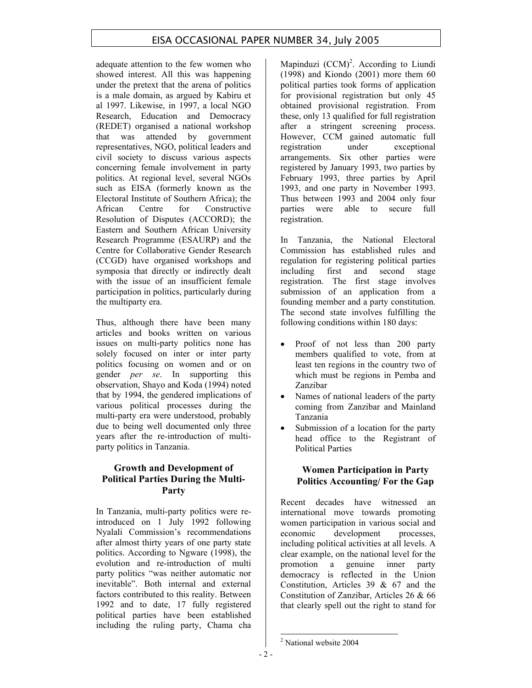adequate attention to the few women who showed interest. All this was happening under the pretext that the arena of politics is a male domain, as argued by Kabiru et al 1997. Likewise, in 1997, a local NGO Research, Education and Democracy (REDET) organised a national workshop that was attended by government representatives, NGO, political leaders and civil society to discuss various aspects concerning female involvement in party politics. At regional level, several NGOs such as EISA (formerly known as the Electoral Institute of Southern Africa); the African Centre for Constructive Resolution of Disputes (ACCORD); the Eastern and Southern African University Research Programme (ESAURP) and the Centre for Collaborative Gender Research (CCGD) have organised workshops and symposia that directly or indirectly dealt with the issue of an insufficient female participation in politics, particularly during the multiparty era.

Thus, although there have been many articles and books written on various issues on multi-party politics none has solely focused on inter or inter party politics focusing on women and or on gender *per se*. In supporting this observation, Shayo and Koda (1994) noted that by 1994, the gendered implications of various political processes during the multi-party era were understood, probably due to being well documented only three years after the re-introduction of multiparty politics in Tanzania.

## **Growth and Development of Political Parties During the Multi-Party**

In Tanzania, multi-party politics were reintroduced on 1 July 1992 following Nyalali Commission's recommendations after almost thirty years of one party state politics. According to Ngware (1998), the evolution and re-introduction of multi party politics "was neither automatic nor inevitable". Both internal and external factors contributed to this reality. Between 1992 and to date, 17 fully registered political parties have been established including the ruling party, Chama cha

Mapinduzi  $(CCM)^2$ . According to Liundi (1998) and Kiondo (2001) more them 60 political parties took forms of application for provisional registration but only 45 obtained provisional registration. From these, only 13 qualified for full registration after a stringent screening process. However, CCM gained automatic full registration under exceptional arrangements. Six other parties were registered by January 1993, two parties by February 1993, three parties by April 1993, and one party in November 1993. Thus between 1993 and 2004 only four parties were able to secure full registration.

In Tanzania, the National Electoral Commission has established rules and regulation for registering political parties including first and second stage registration. The first stage involves submission of an application from a founding member and a party constitution. The second state involves fulfilling the following conditions within 180 days:

- Proof of not less than 200 party members qualified to vote, from at least ten regions in the country two of which must be regions in Pemba and Zanzibar
- Names of national leaders of the party coming from Zanzibar and Mainland Tanzania
- Submission of a location for the party head office to the Registrant of Political Parties

## **Women Participation in Party Politics Accounting/ For the Gap**

Recent decades have witnessed an international move towards promoting women participation in various social and economic development processes, including political activities at all levels. A clear example, on the national level for the promotion a genuine inner party democracy is reflected in the Union Constitution, Articles 39 & 67 and the Constitution of Zanzibar, Articles 26 & 66 that clearly spell out the right to stand for

<sup>&</sup>lt;sup>2</sup> National website 2004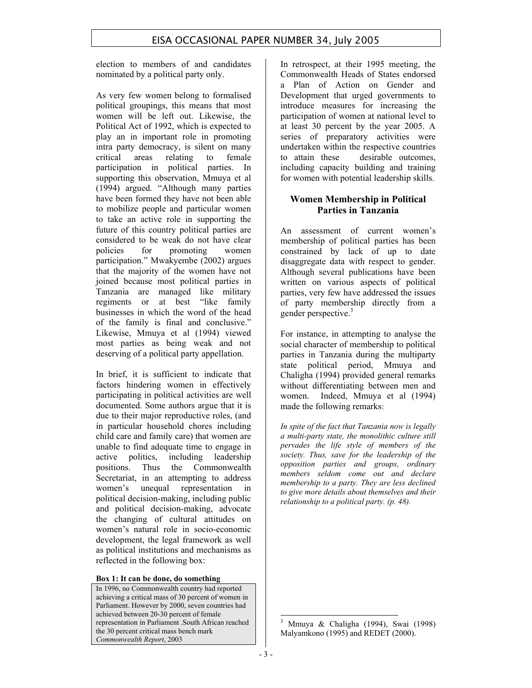election to members of and candidates nominated by a political party only.

As very few women belong to formalised political groupings, this means that most women will be left out. Likewise, the Political Act of 1992, which is expected to play an in important role in promoting intra party democracy, is silent on many critical areas relating to female participation in political parties. In supporting this observation, Mmuya et al (1994) argued. "Although many parties have been formed they have not been able to mobilize people and particular women to take an active role in supporting the future of this country political parties are considered to be weak do not have clear policies for promoting women participation." Mwakyembe (2002) argues that the majority of the women have not joined because most political parties in Tanzania are managed like military regiments or at best "like family businesses in which the word of the head of the family is final and conclusive." Likewise, Mmuya et al (1994) viewed most parties as being weak and not deserving of a political party appellation.

In brief, it is sufficient to indicate that factors hindering women in effectively participating in political activities are well documented. Some authors argue that it is due to their major reproductive roles, (and in particular household chores including child care and family care) that women are unable to find adequate time to engage in active politics, including leadership positions. Thus the Commonwealth Secretariat, in an attempting to address women's unequal representation in political decision-making, including public and political decision-making, advocate the changing of cultural attitudes on women's natural role in socio-economic development, the legal framework as well as political institutions and mechanisms as reflected in the following box:

#### **Box 1: It can be done, do something**

In 1996, no Commonwealth country had reported achieving a critical mass of 30 percent of women in Parliament. However by 2000, seven countries had achieved between 20-30 percent of female representation in Parliament .South African reached the 30 percent critical mass bench mark *Commonwealth Report*, 2003

In retrospect, at their 1995 meeting, the Commonwealth Heads of States endorsed a Plan of Action on Gender and Development that urged governments to introduce measures for increasing the participation of women at national level to at least 30 percent by the year 2005. A series of preparatory activities were undertaken within the respective countries to attain these desirable outcomes, including capacity building and training for women with potential leadership skills.

#### **Women Membership in Political Parties in Tanzania**

An assessment of current women's membership of political parties has been constrained by lack of up to date disaggregate data with respect to gender. Although several publications have been written on various aspects of political parties, very few have addressed the issues of party membership directly from a gender perspective.<sup>3</sup>

For instance, in attempting to analyse the social character of membership to political parties in Tanzania during the multiparty state political period, Mmuya and Chaligha (1994) provided general remarks without differentiating between men and women. Indeed, Mmuya et al (1994) made the following remarks:

*In spite of the fact that Tanzania now is legally a multi-party state, the monolithic culture still pervades the life style of members of the society. Thus, save for the leadership of the opposition parties and groups, ordinary members seldom come out and declare membership to a party. They are less declined to give more details about themselves and their relationship to a political party. (p. 48).*

<sup>3</sup> Mmuya & Chaligha (1994), Swai (1998) Malyamkono (1995) and REDET (2000).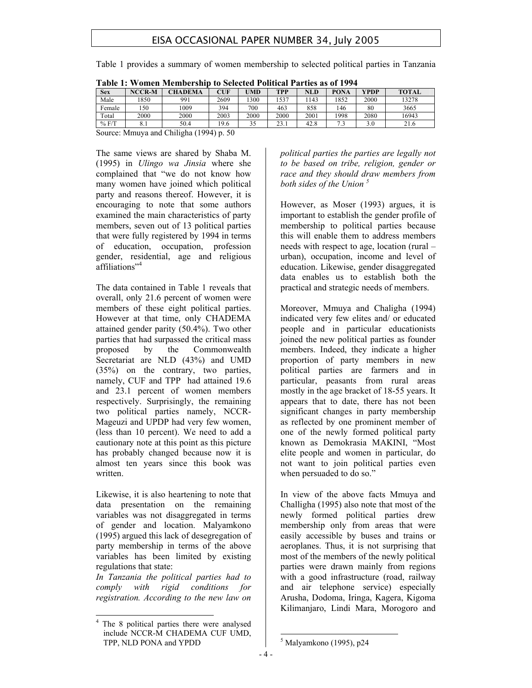Table 1 provides a summary of women membership to selected political parties in Tanzania

| .          |               | <u>w ynyn wrthwyr ymp to bylytyg i ontitua i arthy as of 1994.</u> |      |      |      |      |      |             |              |
|------------|---------------|--------------------------------------------------------------------|------|------|------|------|------|-------------|--------------|
| <b>Sex</b> | <b>NCCR-M</b> | <b>CHADEMA</b>                                                     | CUF  | UMD  | TPP  | NLD  | PONA | <b>YPDP</b> | <b>TOTAL</b> |
| Male       | 850           | 991                                                                | 2609 | 300  | 537ء | 143  | 1852 | 2000        | 13278        |
| Female     | 150           | 1009                                                               | 394  | 700  | 463  | 858  | 146  | 80          | 3665         |
| Total      | 2000          | 2000                                                               | 2003 | 2000 | 2000 | 2001 | 1998 | 2080        | 16943        |
| % F/T      |               | 50.4                                                               | 19.6 | 35   | 23.1 | 42.8 |      | 3.0         | 21.6         |

|  |  |  |  |  | Table 1: Women Membership to Selected Political Parties as of 1994 |
|--|--|--|--|--|--------------------------------------------------------------------|
|--|--|--|--|--|--------------------------------------------------------------------|

Source: Mmuya and Chiligha (1994) p. 50

The same views are shared by Shaba M. (1995) in *Ulingo wa Jinsia* where she complained that "we do not know how many women have joined which political party and reasons thereof. However, it is encouraging to note that some authors examined the main characteristics of party members, seven out of 13 political parties that were fully registered by 1994 in terms of education, occupation, profession gender, residential, age and religious affiliations"<sup>4</sup>

The data contained in Table 1 reveals that overall, only 21.6 percent of women were members of these eight political parties. However at that time, only CHADEMA attained gender parity (50.4%). Two other parties that had surpassed the critical mass proposed by the Commonwealth Secretariat are NLD (43%) and UMD (35%) on the contrary, two parties, namely, CUF and TPP had attained 19.6 and 23.1 percent of women members respectively. Surprisingly, the remaining two political parties namely, NCCR-Mageuzi and UPDP had very few women, (less than 10 percent). We need to add a cautionary note at this point as this picture has probably changed because now it is almost ten years since this book was written.

Likewise, it is also heartening to note that data presentation on the remaining variables was not disaggregated in terms of gender and location. Malyamkono (1995) argued this lack of desegregation of party membership in terms of the above variables has been limited by existing regulations that state:

*In Tanzania the political parties had to comply with rigid conditions for registration. According to the new law on*  *political parties the parties are legally not to be based on tribe, religion, gender or race and they should draw members from both sides of the Union <sup>5</sup>*

However, as Moser (1993) argues, it is important to establish the gender profile of membership to political parties because this will enable them to address members needs with respect to age, location (rural – urban), occupation, income and level of education. Likewise, gender disaggregated data enables us to establish both the practical and strategic needs of members.

Moreover, Mmuya and Chaligha (1994) indicated very few elites and/ or educated people and in particular educationists joined the new political parties as founder members. Indeed, they indicate a higher proportion of party members in new political parties are farmers and in particular, peasants from rural areas mostly in the age bracket of 18-55 years. It appears that to date, there has not been significant changes in party membership as reflected by one prominent member of one of the newly formed political party known as Demokrasia MAKINI, "Most elite people and women in particular, do not want to join political parties even when persuaded to do so."

In view of the above facts Mmuya and Challigha (1995) also note that most of the newly formed political parties drew membership only from areas that were easily accessible by buses and trains or aeroplanes. Thus, it is not surprising that most of the members of the newly political parties were drawn mainly from regions with a good infrastructure (road, railway and air telephone service) especially Arusha, Dodoma, Iringa, Kagera, Kigoma Kilimanjaro, Lindi Mara, Morogoro and

 $\overline{a}$ 4 The 8 political parties there were analysed include NCCR-M CHADEMA CUF UMD, TPP, NLD PONA and YPDD

<sup>5</sup> Malyamkono (1995), p24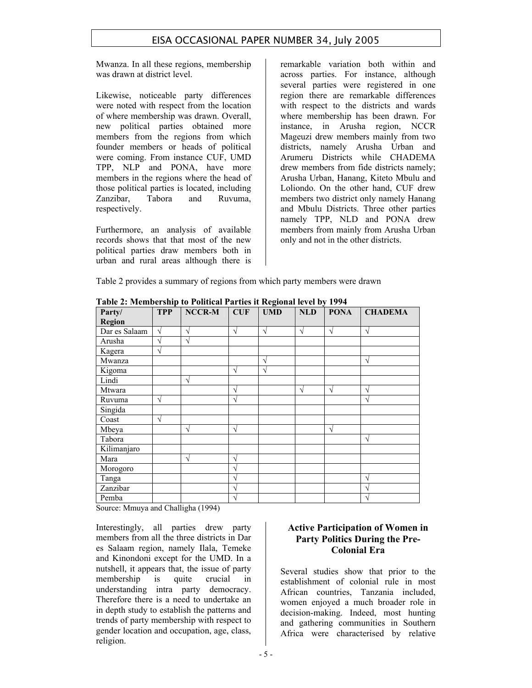Mwanza. In all these regions, membership was drawn at district level.

Likewise, noticeable party differences were noted with respect from the location of where membership was drawn. Overall, new political parties obtained more members from the regions from which founder members or heads of political were coming. From instance CUF, UMD TPP, NLP and PONA, have more members in the regions where the head of those political parties is located, including Zanzibar, Tabora and Ruvuma, respectively.

Furthermore, an analysis of available records shows that that most of the new political parties draw members both in urban and rural areas although there is remarkable variation both within and across parties. For instance, although several parties were registered in one region there are remarkable differences with respect to the districts and wards where membership has been drawn. For instance, in Arusha region, NCCR Mageuzi drew members mainly from two districts, namely Arusha Urban and Arumeru Districts while CHADEMA drew members from fide districts namely; Arusha Urban, Hanang, Kiteto Mbulu and Loliondo. On the other hand, CUF drew members two district only namely Hanang and Mbulu Districts. Three other parties namely TPP, NLD and PONA drew members from mainly from Arusha Urban only and not in the other districts.

Table 2 provides a summary of regions from which party members were drawn

| 1 apre 2. Frempei 9mp to 1 ontical 1 al tres it required forci by 1994<br>Party/ | <b>TPP</b> | NCCR-M     | CUF        | <b>UMD</b> | NLD        | <b>PONA</b> | <b>CHADEMA</b> |
|----------------------------------------------------------------------------------|------------|------------|------------|------------|------------|-------------|----------------|
| <b>Region</b>                                                                    |            |            |            |            |            |             |                |
| Dar es Salaam                                                                    | $\sqrt{ }$ | V          | $\sqrt{}$  | $\sqrt{ }$ | $\sqrt{ }$ | $\sqrt{ }$  | $\sqrt{ }$     |
| Arusha                                                                           | V          | $\gamma$   |            |            |            |             |                |
| Kagera                                                                           | $\sqrt{ }$ |            |            |            |            |             |                |
| Mwanza                                                                           |            |            |            | V          |            |             | $\sqrt{ }$     |
| Kigoma                                                                           |            |            | $\sqrt{ }$ | $\sqrt{ }$ |            |             |                |
| Lindi                                                                            |            | $\sqrt{ }$ |            |            |            |             |                |
| Mtwara                                                                           |            |            | V          |            | V          | $\sqrt{ }$  | $\sqrt{ }$     |
| Ruvuma                                                                           | $\sqrt{ }$ |            | $\sqrt{}$  |            |            |             | $\sqrt{ }$     |
| Singida                                                                          |            |            |            |            |            |             |                |
| Coast                                                                            | $\sqrt{ }$ |            |            |            |            |             |                |
| Mbeya                                                                            |            | $\sqrt{ }$ | $\sqrt{}$  |            |            | $\sqrt{ }$  |                |
| Tabora                                                                           |            |            |            |            |            |             | $\sqrt{ }$     |
| Kilimanjaro                                                                      |            |            |            |            |            |             |                |
| Mara                                                                             |            | $\sqrt{ }$ | $\sqrt{ }$ |            |            |             |                |
| Morogoro                                                                         |            |            | V          |            |            |             |                |
| Tanga                                                                            |            |            | V          |            |            |             | $\mathcal{N}$  |
| Zanzibar                                                                         |            |            | V          |            |            |             | $\mathcal{L}$  |
| Pemba                                                                            |            |            | V          |            |            |             | $\gamma$       |

**Table 2: Membership to Political Parties it Regional level by 1994** 

Source: Mmuya and Challigha (1994)

Interestingly, all parties drew party members from all the three districts in Dar es Salaam region, namely Ilala, Temeke and Kinondoni except for the UMD. In a nutshell, it appears that, the issue of party membership is quite crucial in understanding intra party democracy. Therefore there is a need to undertake an in depth study to establish the patterns and trends of party membership with respect to gender location and occupation, age, class, religion.

## **Active Participation of Women in Party Politics During the Pre-Colonial Era**

Several studies show that prior to the establishment of colonial rule in most African countries, Tanzania included, women enjoyed a much broader role in decision-making. Indeed, most hunting and gathering communities in Southern Africa were characterised by relative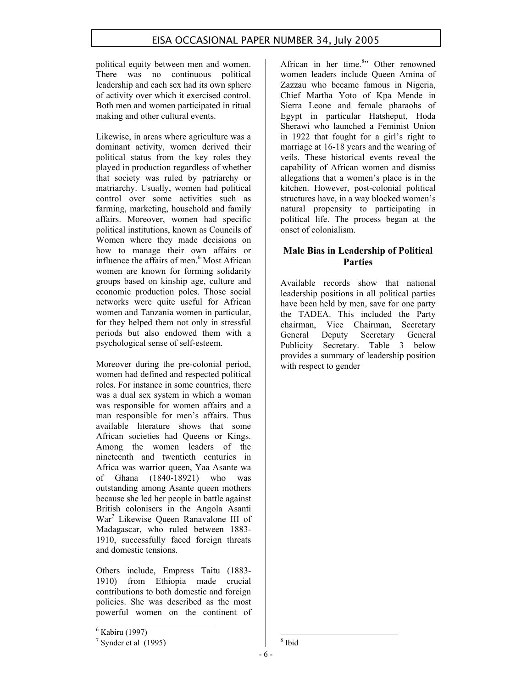political equity between men and women. There was no continuous political leadership and each sex had its own sphere of activity over which it exercised control. Both men and women participated in ritual making and other cultural events.

Likewise, in areas where agriculture was a dominant activity, women derived their political status from the key roles they played in production regardless of whether that society was ruled by patriarchy or matriarchy. Usually, women had political control over some activities such as farming, marketing, household and family affairs. Moreover, women had specific political institutions, known as Councils of Women where they made decisions on how to manage their own affairs or influence the affairs of men.<sup>6</sup> Most African women are known for forming solidarity groups based on kinship age, culture and economic production poles. Those social networks were quite useful for African women and Tanzania women in particular, for they helped them not only in stressful periods but also endowed them with a psychological sense of self-esteem.

Moreover during the pre-colonial period, women had defined and respected political roles. For instance in some countries, there was a dual sex system in which a woman was responsible for women affairs and a man responsible for men's affairs. Thus available literature shows that some African societies had Queens or Kings. Among the women leaders of the nineteenth and twentieth centuries in Africa was warrior queen, Yaa Asante wa of Ghana (1840-18921) who was outstanding among Asante queen mothers because she led her people in battle against British colonisers in the Angola Asanti War<sup>7</sup> Likewise Queen Ranavalone III of Madagascar, who ruled between 1883- 1910, successfully faced foreign threats and domestic tensions.

Others include, Empress Taitu (1883- 1910) from Ethiopia made crucial contributions to both domestic and foreign policies. She was described as the most powerful women on the continent of

African in her time.<sup>8</sup>" Other renowned women leaders include Queen Amina of Zazzau who became famous in Nigeria, Chief Martha Yoto of Kpa Mende in Sierra Leone and female pharaohs of Egypt in particular Hatsheput, Hoda Sherawi who launched a Feminist Union in 1922 that fought for a girl's right to marriage at 16-18 years and the wearing of veils. These historical events reveal the capability of African women and dismiss allegations that a women's place is in the kitchen. However, post-colonial political structures have, in a way blocked women's natural propensity to participating in political life. The process began at the onset of colonialism.

## **Male Bias in Leadership of Political Parties**

Available records show that national leadership positions in all political parties have been held by men, save for one party the TADEA. This included the Party chairman, Vice Chairman, Secretary General Deputy Secretary General Publicity Secretary. Table 3 below provides a summary of leadership position with respect to gender

 6 Kabiru (1997)

 $<sup>7</sup>$  Synder et al (1995)</sup>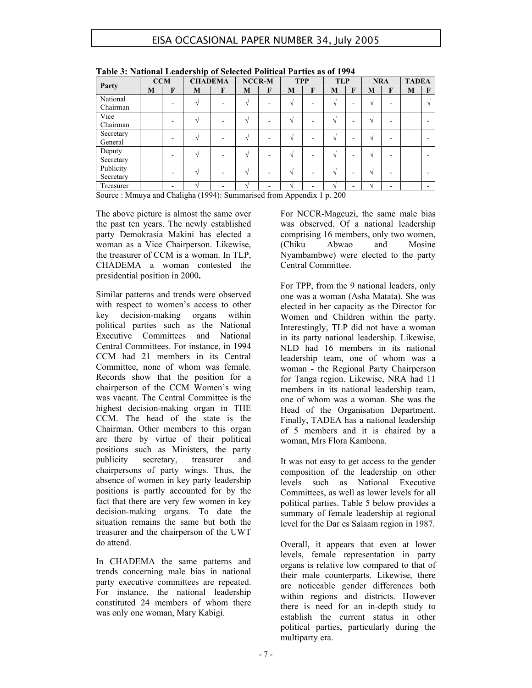|                        | <b>CCM</b> |   | <b>CHADEMA</b> |   | <b>NCCR-M</b> |                      | <b>TPP</b> |              | <b>TLP</b>    |                          | <b>NRA</b>    |              | <b>TADEA</b> |                          |
|------------------------|------------|---|----------------|---|---------------|----------------------|------------|--------------|---------------|--------------------------|---------------|--------------|--------------|--------------------------|
| Party                  | M          | F | M              | F | M             | F                    | M          | $\mathbf{F}$ | M             | F                        | M             | $\mathbf{F}$ | M            | $\mathbf{F}$             |
| National<br>Chairman   |            |   |                |   | N             |                      |            |              | $\mathcal{N}$ | $\overline{\phantom{0}}$ | V             |              |              | $\Delta$                 |
| Vice<br>Chairman       |            |   |                |   | $\sim$        |                      |            |              | $\sim$        | ۰                        | $\mathcal{N}$ |              |              |                          |
| Secretary<br>General   |            |   |                |   | $\mathcal{N}$ |                      |            |              | $\sim$        | $\overline{\phantom{0}}$ | $\mathcal{N}$ |              |              |                          |
| Deputy<br>Secretary    |            |   |                |   | $\sim$        |                      |            |              | $\sim$        | -                        | $\mathcal{N}$ |              |              |                          |
| Publicity<br>Secretary |            |   |                |   | ٦Ι            |                      |            |              | $\sim$        | $\overline{\phantom{0}}$ | $\mathcal{N}$ |              |              |                          |
| Treasurer              |            |   | ٦I             |   | $\mathcal{N}$ | $\sim$ $\sim$ $\sim$ | ٦I         |              | $\sim$        | $\overline{\phantom{0}}$ | $\mathcal{N}$ |              |              | $\overline{\phantom{0}}$ |

**Table 3: National Leadership of Selected Political Parties as of 1994** 

Source : Mmuya and Chaligha (1994): Summarised from Appendix 1 p. 200

The above picture is almost the same over the past ten years. The newly established party Demokrasia Makini has elected a woman as a Vice Chairperson. Likewise, the treasurer of CCM is a woman. In TLP, CHADEMA a woman contested the presidential position in 2000**.** 

Similar patterns and trends were observed with respect to women's access to other key decision-making organs within political parties such as the National Executive Committees and National Central Committees. For instance, in 1994 CCM had 21 members in its Central Committee, none of whom was female. Records show that the position for a chairperson of the CCM Women's wing was vacant. The Central Committee is the highest decision-making organ in THE CCM. The head of the state is the Chairman. Other members to this organ are there by virtue of their political positions such as Ministers, the party publicity secretary, treasurer and chairpersons of party wings. Thus, the absence of women in key party leadership positions is partly accounted for by the fact that there are very few women in key decision-making organs. To date the situation remains the same but both the treasurer and the chairperson of the UWT do attend.

In CHADEMA the same patterns and trends concerning male bias in national party executive committees are repeated. For instance, the national leadership constituted 24 members of whom there was only one woman, Mary Kabigi.

For NCCR-Mageuzi, the same male bias was observed. Of a national leadership comprising 16 members, only two women, (Chiku Abwao and Mosine Nyambambwe) were elected to the party Central Committee.

For TPP, from the 9 national leaders, only one was a woman (Asha Matata). She was elected in her capacity as the Director for Women and Children within the party. Interestingly, TLP did not have a woman in its party national leadership. Likewise, NLD had 16 members in its national leadership team, one of whom was a woman - the Regional Party Chairperson for Tanga region. Likewise, NRA had 11 members in its national leadership team, one of whom was a woman. She was the Head of the Organisation Department. Finally, TADEA has a national leadership of 5 members and it is chaired by a woman, Mrs Flora Kambona.

It was not easy to get access to the gender composition of the leadership on other levels such as National Executive Committees, as well as lower levels for all political parties. Table 5 below provides a summary of female leadership at regional level for the Dar es Salaam region in 1987.

Overall, it appears that even at lower levels, female representation in party organs is relative low compared to that of their male counterparts. Likewise, there are noticeable gender differences both within regions and districts. However there is need for an in-depth study to establish the current status in other political parties, particularly during the multiparty era.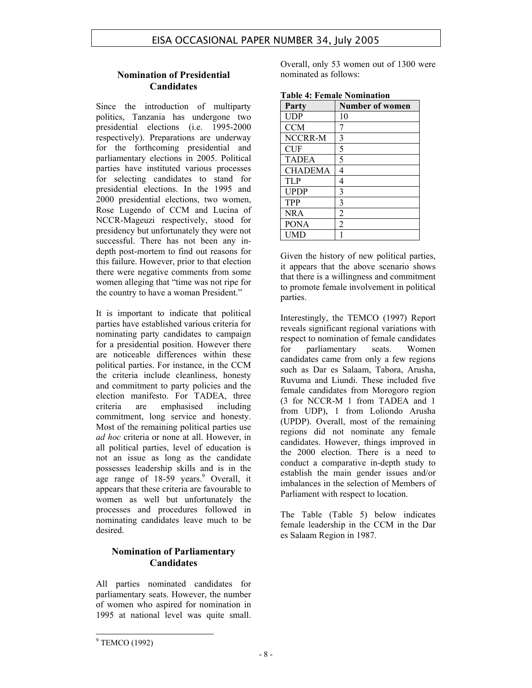## **Nomination of Presidential Candidates**

Since the introduction of multiparty politics, Tanzania has undergone two presidential elections (i.e. 1995-2000 respectively). Preparations are underway for the forthcoming presidential and parliamentary elections in 2005. Political parties have instituted various processes for selecting candidates to stand for presidential elections. In the 1995 and 2000 presidential elections, two women, Rose Lugendo of CCM and Lucina of NCCR-Mageuzi respectively, stood for presidency but unfortunately they were not successful. There has not been any indepth post-mortem to find out reasons for this failure. However, prior to that election there were negative comments from some women alleging that "time was not ripe for the country to have a woman President."

It is important to indicate that political parties have established various criteria for nominating party candidates to campaign for a presidential position. However there are noticeable differences within these political parties. For instance, in the CCM the criteria include cleanliness, honesty and commitment to party policies and the election manifesto. For TADEA, three criteria are emphasised including commitment, long service and honesty. Most of the remaining political parties use *ad hoc* criteria or none at all. However, in all political parties, level of education is not an issue as long as the candidate possesses leadership skills and is in the age range of  $18-59$  years.<sup>9</sup> Overall, it appears that these criteria are favourable to women as well but unfortunately the processes and procedures followed in nominating candidates leave much to be desired.

## **Nomination of Parliamentary Candidates**

All parties nominated candidates for parliamentary seats. However, the number of women who aspired for nomination in 1995 at national level was quite small.

Overall, only 53 women out of 1300 were nominated as follows:

| Party          | <b>Number of women</b> |
|----------------|------------------------|
| <b>UDP</b>     | 10                     |
| <b>CCM</b>     | 7                      |
| NCCRR-M        | 3                      |
| <b>CUF</b>     | 5                      |
| <b>TADEA</b>   | 5                      |
| <b>CHADEMA</b> | 4                      |
| <b>TLP</b>     | 4                      |
| <b>UPDP</b>    | 3                      |
| TPP            | 3                      |
| <b>NRA</b>     | $\overline{2}$         |
| <b>PONA</b>    | $\overline{2}$         |
| <b>UMD</b>     |                        |

**Table 4: Female Nomination** 

Given the history of new political parties, it appears that the above scenario shows that there is a willingness and commitment to promote female involvement in political parties.

Interestingly, the TEMCO (1997) Report reveals significant regional variations with respect to nomination of female candidates for parliamentary seats. Women candidates came from only a few regions such as Dar es Salaam, Tabora, Arusha, Ruvuma and Liundi. These included five female candidates from Morogoro region (3 for NCCR-M 1 from TADEA and 1 from UDP), 1 from Loliondo Arusha (UPDP). Overall, most of the remaining regions did not nominate any female candidates. However, things improved in the 2000 election. There is a need to conduct a comparative in-depth study to establish the main gender issues and/or imbalances in the selection of Members of Parliament with respect to location.

The Table (Table 5) below indicates female leadership in the CCM in the Dar es Salaam Region in 1987.

<sup>&</sup>lt;sup>9</sup> TEMCO (1992)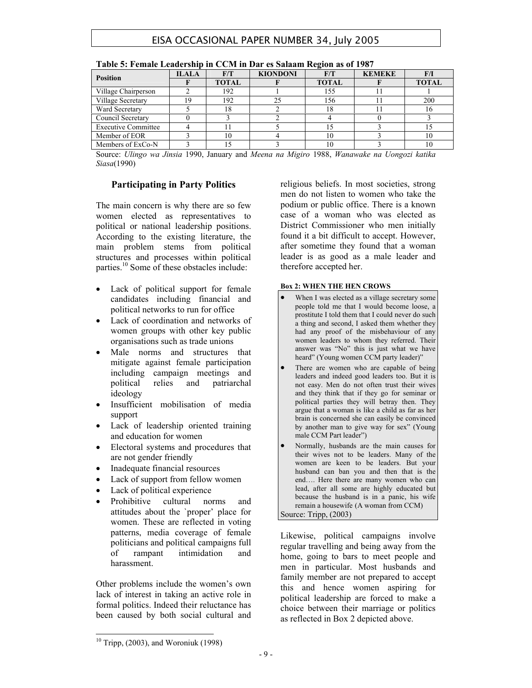|                            |              |              |                 | $-$          |               |              |
|----------------------------|--------------|--------------|-----------------|--------------|---------------|--------------|
| <b>Position</b>            | <b>ILALA</b> | F/T          | <b>KIONDONI</b> | F/T          | <b>KEMEKE</b> | F/I          |
|                            |              | <b>TOTAL</b> |                 | <b>TOTAL</b> |               | <b>TOTAL</b> |
| Village Chairperson        |              | 192          |                 | 155          |               |              |
| Village Secretary          | 19           | 192          | 25              | 156          |               | 200          |
| Ward Secretary             |              | 18           |                 |              |               |              |
| Council Secretary          |              |              |                 |              |               |              |
| <b>Executive Committee</b> |              |              |                 |              |               |              |
| Member of EOR              |              | 10           |                 |              |               | 10           |
| Members of ExCo-N          |              |              |                 |              |               | 10           |

| Table 5: Female Leadership in CCM in Dar es Salaam Region as of 1987 |  |  |
|----------------------------------------------------------------------|--|--|
|                                                                      |  |  |

Source: *Ulingo wa Jinsia* 1990, January and *Meena na Migiro* 1988, *Wanawake na Uongozi katika Siasa*(1990)

#### **Participating in Party Politics**

The main concern is why there are so few women elected as representatives to political or national leadership positions. According to the existing literature, the main problem stems from political structures and processes within political parties.<sup>10</sup> Some of these obstacles include:

- Lack of political support for female candidates including financial and political networks to run for office
- Lack of coordination and networks of women groups with other key public organisations such as trade unions
- Male norms and structures that mitigate against female participation including campaign meetings and political relies and patriarchal ideology
- Insufficient mobilisation of media support
- Lack of leadership oriented training and education for women
- Electoral systems and procedures that are not gender friendly
- Inadequate financial resources
- Lack of support from fellow women
- Lack of political experience
- Prohibitive cultural norms and attitudes about the `proper' place for women. These are reflected in voting patterns, media coverage of female politicians and political campaigns full of rampant intimidation and harassment.

Other problems include the women's own lack of interest in taking an active role in formal politics. Indeed their reluctance has been caused by both social cultural and religious beliefs. In most societies, strong men do not listen to women who take the podium or public office. There is a known case of a woman who was elected as District Commissioner who men initially found it a bit difficult to accept. However, after sometime they found that a woman leader is as good as a male leader and therefore accepted her.

#### **Box 2: WHEN THE HEN CROWS**

- When I was elected as a village secretary some people told me that I would become loose, a prostitute I told them that I could never do such a thing and second, I asked them whether they had any proof of the misbehaviour of any women leaders to whom they referred. Their answer was "No" this is just what we have heard" (Young women CCM party leader)"
- There are women who are capable of being leaders and indeed good leaders too. But it is not easy. Men do not often trust their wives and they think that if they go for seminar or political parties they will betray then. They argue that a woman is like a child as far as her brain is concerned she can easily be convinced by another man to give way for sex" (Young male CCM Part leader")
- Normally, husbands are the main causes for their wives not to be leaders. Many of the women are keen to be leaders. But your husband can ban you and then that is the end…. Here there are many women who can lead, after all some are highly educated but because the husband is in a panic, his wife remain a housewife (A woman from CCM)

Source: Tripp, (2003)

Likewise, political campaigns involve regular travelling and being away from the home, going to bars to meet people and men in particular. Most husbands and family member are not prepared to accept this and hence women aspiring for political leadership are forced to make a choice between their marriage or politics as reflected in Box 2 depicted above.

 $10$  Tripp, (2003), and Woroniuk (1998)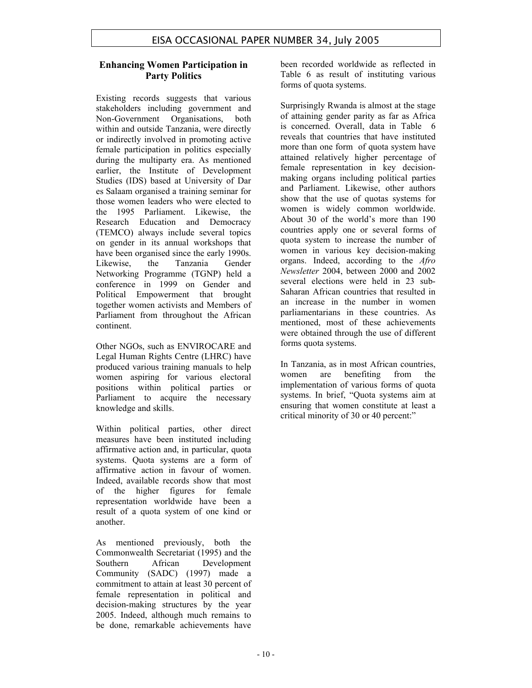### **Enhancing Women Participation in Party Politics**

Existing records suggests that various stakeholders including government and Non-Government Organisations, both within and outside Tanzania, were directly or indirectly involved in promoting active female participation in politics especially during the multiparty era. As mentioned earlier, the Institute of Development Studies (IDS) based at University of Dar es Salaam organised a training seminar for those women leaders who were elected to the 1995 Parliament. Likewise, the Research Education and Democracy (TEMCO) always include several topics on gender in its annual workshops that have been organised since the early 1990s. Likewise, the Tanzania Gender Networking Programme (TGNP) held a conference in 1999 on Gender and Political Empowerment that brought together women activists and Members of Parliament from throughout the African continent.

Other NGOs, such as ENVIROCARE and Legal Human Rights Centre (LHRC) have produced various training manuals to help women aspiring for various electoral positions within political parties or Parliament to acquire the necessary knowledge and skills.

Within political parties, other direct measures have been instituted including affirmative action and, in particular, quota systems. Quota systems are a form of affirmative action in favour of women. Indeed, available records show that most of the higher figures for female representation worldwide have been a result of a quota system of one kind or another.

As mentioned previously, both the Commonwealth Secretariat (1995) and the Southern African Development Community (SADC) (1997) made a commitment to attain at least 30 percent of female representation in political and decision-making structures by the year 2005. Indeed, although much remains to be done, remarkable achievements have

been recorded worldwide as reflected in Table 6 as result of instituting various forms of quota systems.

Surprisingly Rwanda is almost at the stage of attaining gender parity as far as Africa is concerned. Overall, data in Table 6 reveals that countries that have instituted more than one form of quota system have attained relatively higher percentage of female representation in key decisionmaking organs including political parties and Parliament. Likewise, other authors show that the use of quotas systems for women is widely common worldwide. About 30 of the world's more than 190 countries apply one or several forms of quota system to increase the number of women in various key decision-making organs. Indeed, according to the *Afro Newsletter* 2004, between 2000 and 2002 several elections were held in 23 sub-Saharan African countries that resulted in an increase in the number in women parliamentarians in these countries. As mentioned, most of these achievements were obtained through the use of different forms quota systems.

In Tanzania, as in most African countries, women are benefiting from the implementation of various forms of quota systems. In brief, "Quota systems aim at ensuring that women constitute at least a critical minority of 30 or 40 percent:"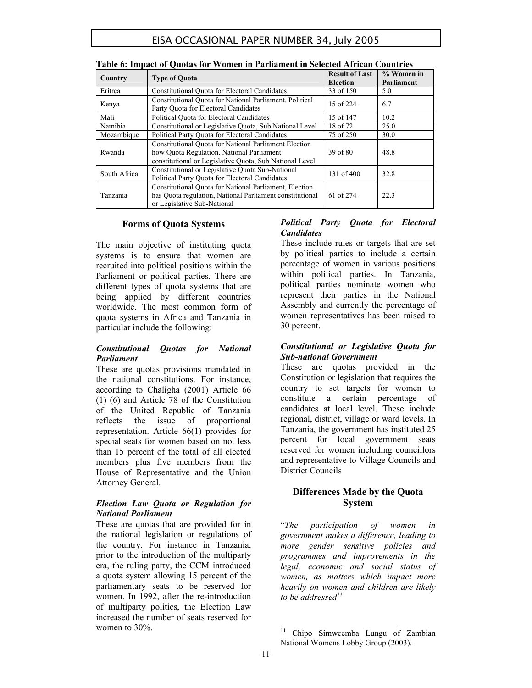| Country      | <b>Type of Quota</b>                                                                                                                                          | <b>Result of Last</b><br><b>Election</b> | % Women in<br>Parliament |
|--------------|---------------------------------------------------------------------------------------------------------------------------------------------------------------|------------------------------------------|--------------------------|
| Eritrea      | <b>Constitutional Quota for Electoral Candidates</b>                                                                                                          | 33 of 150                                | 5.0                      |
| Kenya        | Constitutional Ouota for National Parliament. Political<br>Party Ouota for Electoral Candidates                                                               | 15 of 224                                | 6.7                      |
| Mali         | Political Ouota for Electoral Candidates                                                                                                                      | 15 of 147                                | 10.2                     |
| Namibia      | Constitutional or Legislative Quota, Sub National Level                                                                                                       | 18 of 72                                 | 25.0                     |
| Mozambique   | Political Party Ouota for Electoral Candidates                                                                                                                | 75 of 250                                | 30.0                     |
| Rwanda       | Constitutional Quota for National Parliament Election<br>how Quota Regulation. National Parliament<br>constitutional or Legislative Quota, Sub National Level | 39 of 80                                 | 48.8                     |
| South Africa | Constitutional or Legislative Quota Sub-National<br>Political Party Quota for Electoral Candidates                                                            | 131 of 400                               | 32.8                     |
| Tanzania     | Constitutional Quota for National Parliament, Election<br>has Quota regulation, National Parliament constitutional<br>or Legislative Sub-National             | 61 of 274                                | 22.3                     |

#### **Forms of Quota Systems**

The main objective of instituting quota systems is to ensure that women are recruited into political positions within the Parliament or political parties. There are different types of quota systems that are being applied by different countries worldwide. The most common form of quota systems in Africa and Tanzania in particular include the following:

#### *Constitutional Quotas for National Parliament*

These are quotas provisions mandated in the national constitutions. For instance, according to Chaligha (2001) Article 66 (1) (6) and Article 78 of the Constitution of the United Republic of Tanzania reflects the issue of proportional representation. Article 66(1) provides for special seats for women based on not less than 15 percent of the total of all elected members plus five members from the House of Representative and the Union Attorney General.

#### *Election Law Quota or Regulation for National Parliament*

These are quotas that are provided for in the national legislation or regulations of the country. For instance in Tanzania, prior to the introduction of the multiparty era, the ruling party, the CCM introduced a quota system allowing 15 percent of the parliamentary seats to be reserved for women. In 1992, after the re-introduction of multiparty politics, the Election Law increased the number of seats reserved for women to 30%.

## *Political Party Quota for Electoral Candidates*

These include rules or targets that are set by political parties to include a certain percentage of women in various positions within political parties. In Tanzania, political parties nominate women who represent their parties in the National Assembly and currently the percentage of women representatives has been raised to 30 percent.

#### *Constitutional or Legislative Quota for Sub-national Government*

These are quotas provided in the Constitution or legislation that requires the country to set targets for women to constitute a certain percentage of candidates at local level. These include regional, district, village or ward levels. In Tanzania, the government has instituted 25 percent for local government seats reserved for women including councillors and representative to Village Councils and District Councils

## **Differences Made by the Quota System**

"*The participation of women in government makes a difference, leading to more gender sensitive policies and programmes and improvements in the legal, economic and social status of women, as matters which impact more heavily on women and children are likely to be addressed11* 

<sup>&</sup>lt;sup>11</sup> Chipo Simweemba Lungu of Zambian National Womens Lobby Group (2003).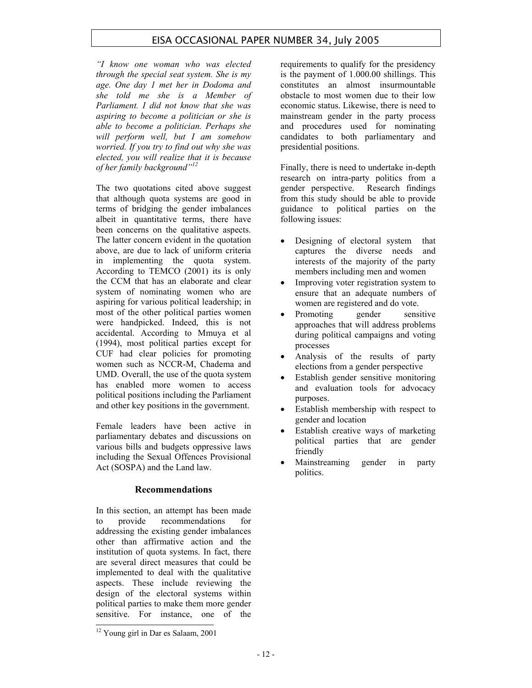*"I know one woman who was elected through the special seat system. She is my age. One day 1 met her in Dodoma and she told me she is a Member of Parliament. I did not know that she was aspiring to become a politician or she is able to become a politician. Perhaps she will perform well, but I am somehow worried. If you try to find out why she was elected, you will realize that it is because of her family background"<sup>12</sup>*

The two quotations cited above suggest that although quota systems are good in terms of bridging the gender imbalances albeit in quantitative terms, there have been concerns on the qualitative aspects. The latter concern evident in the quotation above, are due to lack of uniform criteria in implementing the quota system. According to TEMCO (2001) its is only the CCM that has an elaborate and clear system of nominating women who are aspiring for various political leadership; in most of the other political parties women were handpicked. Indeed, this is not accidental. According to Mmuya et al (1994), most political parties except for CUF had clear policies for promoting women such as NCCR-M, Chadema and UMD. Overall, the use of the quota system has enabled more women to access political positions including the Parliament and other key positions in the government.

Female leaders have been active in parliamentary debates and discussions on various bills and budgets oppressive laws including the Sexual Offences Provisional Act (SOSPA) and the Land law.

#### **Recommendations**

In this section, an attempt has been made to provide recommendations for addressing the existing gender imbalances other than affirmative action and the institution of quota systems. In fact, there are several direct measures that could be implemented to deal with the qualitative aspects. These include reviewing the design of the electoral systems within political parties to make them more gender sensitive. For instance, one of the requirements to qualify for the presidency is the payment of 1.000.00 shillings. This constitutes an almost insurmountable obstacle to most women due to their low economic status. Likewise, there is need to mainstream gender in the party process and procedures used for nominating candidates to both parliamentary and presidential positions.

Finally, there is need to undertake in-depth research on intra-party politics from a gender perspective. Research findings from this study should be able to provide guidance to political parties on the following issues:

- Designing of electoral system that captures the diverse needs and interests of the majority of the party members including men and women
- Improving voter registration system to ensure that an adequate numbers of women are registered and do vote.
- Promoting gender sensitive approaches that will address problems during political campaigns and voting processes
- Analysis of the results of party elections from a gender perspective
- Establish gender sensitive monitoring and evaluation tools for advocacy purposes.
- Establish membership with respect to gender and location
- Establish creative ways of marketing political parties that are gender friendly
- Mainstreaming gender in party politics.

<sup>&</sup>lt;sup>12</sup> Young girl in Dar es Salaam, 2001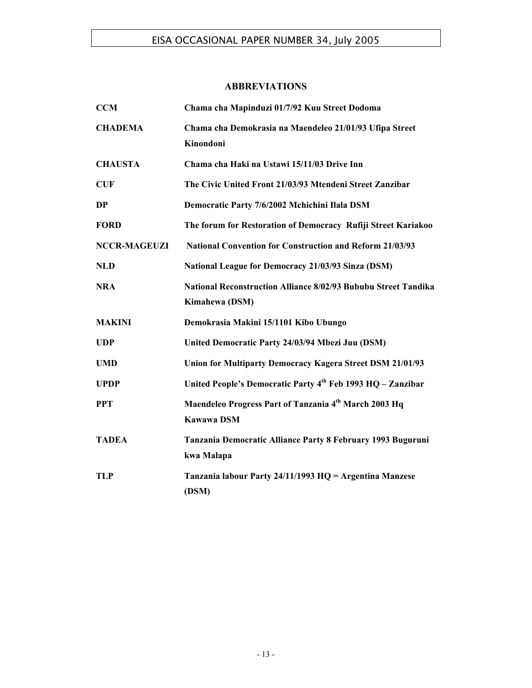## **ABBREVIATIONS**

| <b>CCM</b>          | Chama cha Mapinduzi 01/7/92 Kuu Street Dodoma                                           |
|---------------------|-----------------------------------------------------------------------------------------|
| <b>CHADEMA</b>      | Chama cha Demokrasia na Maendeleo 21/01/93 Ufipa Street<br>Kinondoni                    |
| <b>CHAUSTA</b>      | Chama cha Haki na Ustawi 15/11/03 Drive Inn                                             |
| <b>CUF</b>          | The Civic United Front 21/03/93 Mtendeni Street Zanzibar                                |
| <b>DP</b>           | Democratic Party 7/6/2002 Mchichini Ilala DSM                                           |
| <b>FORD</b>         | The forum for Restoration of Democracy Rufiji Street Kariakoo                           |
| <b>NCCR-MAGEUZI</b> | <b>National Convention for Construction and Reform 21/03/93</b>                         |
| <b>NLD</b>          | National League for Democracy 21/03/93 Sinza (DSM)                                      |
| <b>NRA</b>          | <b>National Reconstruction Alliance 8/02/93 Bububu Street Tandika</b><br>Kimahewa (DSM) |
| <b>MAKINI</b>       | Demokrasia Makini 15/1101 Kibo Ubungo                                                   |
| <b>UDP</b>          | United Democratic Party 24/03/94 Mbezi Juu (DSM)                                        |
| <b>UMD</b>          | <b>Union for Multiparty Democracy Kagera Street DSM 21/01/93</b>                        |
| <b>UPDP</b>         | United People's Democratic Party 4th Feb 1993 HQ - Zanzibar                             |
| <b>PPT</b>          | Maendeleo Progress Part of Tanzania 4 <sup>th</sup> March 2003 Hq<br><b>Kawawa DSM</b>  |
| <b>TADEA</b>        | Tanzania Democratic Alliance Party 8 February 1993 Buguruni<br>kwa Malapa               |
| <b>TLP</b>          | Tanzania labour Party 24/11/1993 HQ = Argentina Manzese<br>(DSM)                        |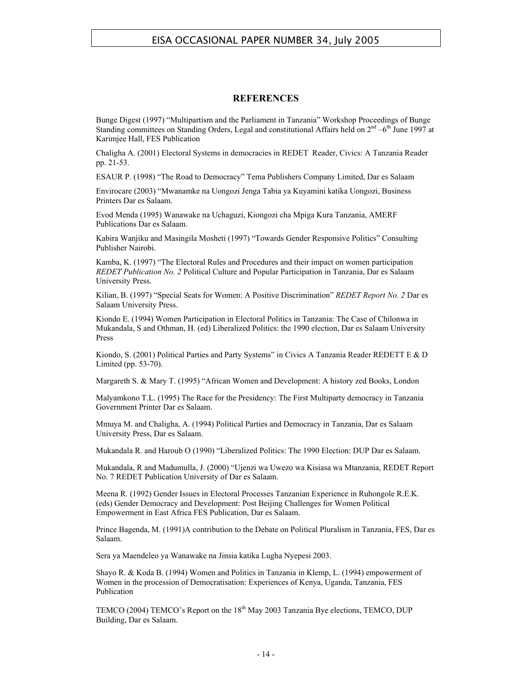#### **REFERENCES**

Bunge Digest (1997) "Multipartism and the Parliament in Tanzania" Workshop Proceedings of Bunge Standing committees on Standing Orders, Legal and constitutional Affairs held on  $2^{nd} -6^{th}$  June 1997 at Karimjee Hall, FES Publication

Chaligha A. (2001) Electoral Systems in democracies in REDET Reader, Civics: A Tanzania Reader pp. 21-53.

ESAUR P. (1998) "The Road to Democracy" Tema Publishers Company Limited, Dar es Salaam

Envirocare (2003) "Mwanamke na Uongozi Jenga Tabia ya Kuyamini katika Uongozi, Business Printers Dar es Salaam.

Evod Menda (1995) Wanawake na Uchaguzi, Kiongozi cha Mpiga Kura Tanzania, AMERF Publications Dar es Salaam.

Kabira Wanjiku and Masingila Mosheti (1997) "Towards Gender Responsive Politics" Consulting Publisher Nairobi.

Kamba, K. (1997) "The Electoral Rules and Procedures and their impact on women participation *REDET Publication No. 2* Political Culture and Popular Participation in Tanzania, Dar es Salaam University Press.

Kilian, B. (1997) "Special Seats for Women: A Positive Discrimination" *REDET Report No. 2* Dar es Salaam University Press.

Kiondo E. (1994) Women Participation in Electoral Politics in Tanzania: The Case of Chilonwa in Mukandala, S and Othman, H. (ed) Liberalized Politics: the 1990 election, Dar es Salaam University Press

Kiondo, S. (2001) Political Parties and Party Systems" in Civics A Tanzania Reader REDETT E & D Limited (pp. 53-70).

Margareth S. & Mary T. (1995) "African Women and Development: A history zed Books, London

Malyamkono T.L. (1995) The Race for the Presidency: The First Multiparty democracy in Tanzania Government Printer Dar es Salaam.

Mmuya M. and Chaligha, A. (1994) Political Parties and Democracy in Tanzania, Dar es Salaam University Press, Dar es Salaam.

Mukandala R. and Haroub O (1990) "Liberalized Politics: The 1990 Election: DUP Dar es Salaam.

Mukandala, R and Madumulla, J. (2000) "Ujenzi wa Uwezo wa Kisiasa wa Mtanzania, REDET Report No. 7 REDET Publication University of Dar es Salaam.

Meena R. (1992) Gender Issues in Electoral Processes Tanzanian Experience in Ruhongole R.E.K. (eds) Gender Democracy and Development: Post Beijing Challenges for Women Political Empowerment in East Africa FES Publication, Dar es Salaam.

Prince Bagenda, M. (1991)A contribution to the Debate on Political Pluralism in Tanzania, FES, Dar es Salaam.

Sera ya Maendeleo ya Wanawake na Jinsia katika Lugha Nyepesi 2003.

Shayo R. & Koda B. (1994) Women and Politics in Tanzania in Klemp, L. (1994) empowerment of Women in the procession of Democratisation: Experiences of Kenya, Uganda, Tanzania, FES Publication

TEMCO (2004) TEMCO's Report on the 18<sup>th</sup> May 2003 Tanzania Bye elections, TEMCO, DUP Building, Dar es Salaam.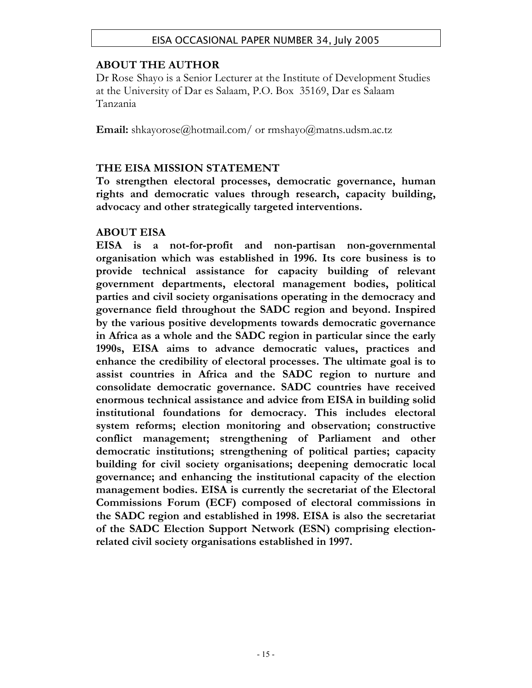# **ABOUT THE AUTHOR**

Dr Rose Shayo is a Senior Lecturer at the Institute of Development Studies at the University of Dar es Salaam, P.O. Box 35169, Dar es Salaam Tanzania

**Email:** shkayorose@hotmail.com/ or rmshayo@matns.udsm.ac.tz

# **THE EISA MISSION STATEMENT**

**To strengthen electoral processes, democratic governance, human rights and democratic values through research, capacity building, advocacy and other strategically targeted interventions.** 

# **ABOUT EISA**

**EISA is a not-for-profit and non-partisan non-governmental organisation which was established in 1996. Its core business is to provide technical assistance for capacity building of relevant government departments, electoral management bodies, political parties and civil society organisations operating in the democracy and governance field throughout the SADC region and beyond. Inspired by the various positive developments towards democratic governance in Africa as a whole and the SADC region in particular since the early 1990s, EISA aims to advance democratic values, practices and enhance the credibility of electoral processes. The ultimate goal is to assist countries in Africa and the SADC region to nurture and consolidate democratic governance. SADC countries have received enormous technical assistance and advice from EISA in building solid institutional foundations for democracy. This includes electoral system reforms; election monitoring and observation; constructive conflict management; strengthening of Parliament and other democratic institutions; strengthening of political parties; capacity building for civil society organisations; deepening democratic local governance; and enhancing the institutional capacity of the election management bodies. EISA is currently the secretariat of the Electoral Commissions Forum (ECF) composed of electoral commissions in the SADC region and established in 1998. EISA is also the secretariat of the SADC Election Support Network (ESN) comprising electionrelated civil society organisations established in 1997.**